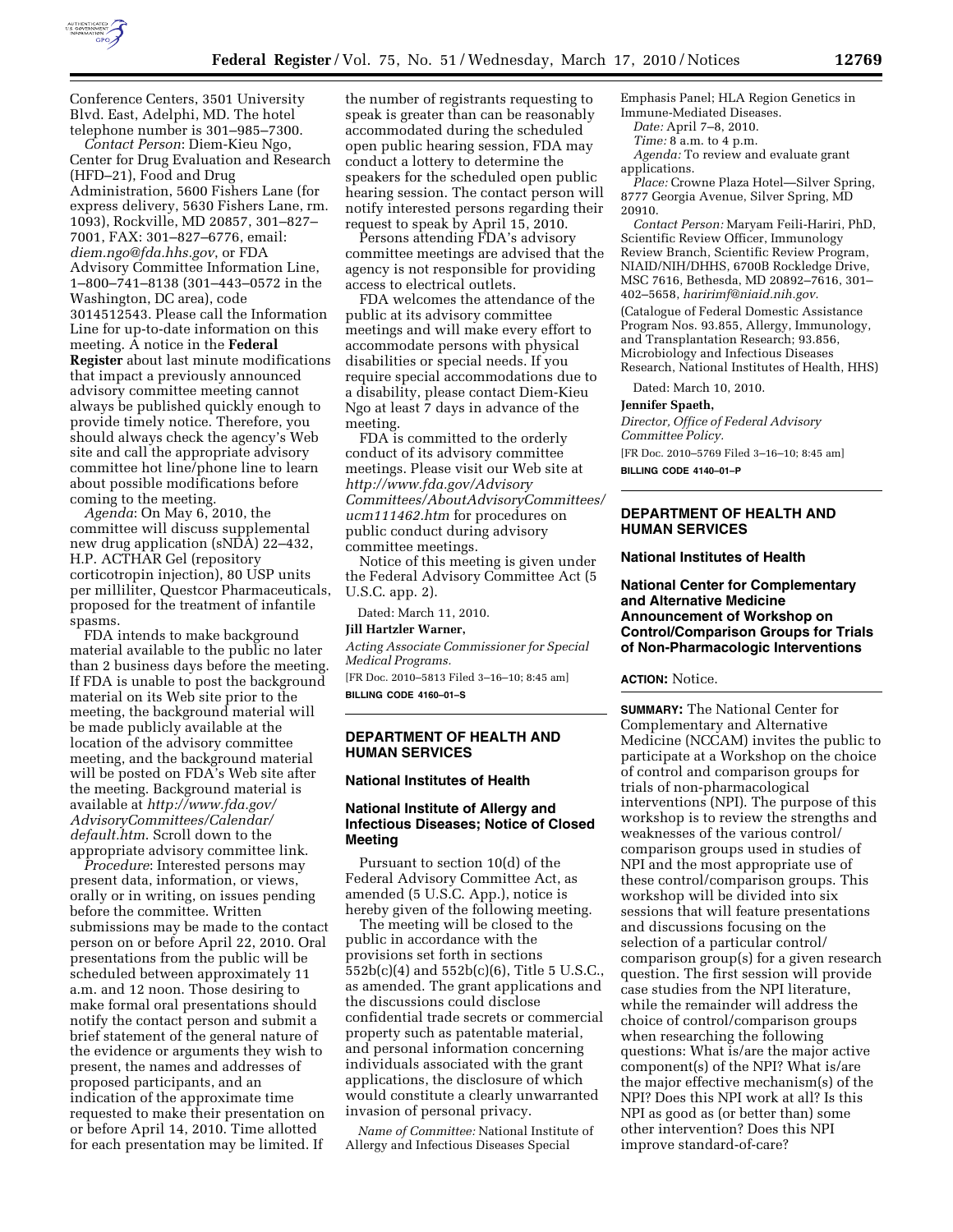

Conference Centers, 3501 University Blvd. East, Adelphi, MD. The hotel telephone number is 301–985–7300.

*Contact Person*: Diem-Kieu Ngo, Center for Drug Evaluation and Research (HFD–21), Food and Drug Administration, 5600 Fishers Lane (for express delivery, 5630 Fishers Lane, rm. 1093), Rockville, MD 20857, 301–827– 7001, FAX: 301–827–6776, email: *diem.ngo@fda.hhs.gov*, or FDA Advisory Committee Information Line, 1–800–741–8138 (301–443–0572 in the Washington, DC area), code 3014512543. Please call the Information Line for up-to-date information on this meeting. A notice in the **Federal Register** about last minute modifications that impact a previously announced advisory committee meeting cannot always be published quickly enough to provide timely notice. Therefore, you should always check the agency's Web site and call the appropriate advisory committee hot line/phone line to learn about possible modifications before coming to the meeting.

*Agenda*: On May 6, 2010, the committee will discuss supplemental new drug application (sNDA) 22–432, H.P. ACTHAR Gel (repository corticotropin injection), 80 USP units per milliliter, Questcor Pharmaceuticals, proposed for the treatment of infantile spasms.

FDA intends to make background material available to the public no later than 2 business days before the meeting. If FDA is unable to post the background material on its Web site prior to the meeting, the background material will be made publicly available at the location of the advisory committee meeting, and the background material will be posted on FDA's Web site after the meeting. Background material is available at *http://www.fda.gov/ AdvisoryCommittees/Calendar/ default.htm*. Scroll down to the appropriate advisory committee link.

*Procedure*: Interested persons may present data, information, or views, orally or in writing, on issues pending before the committee. Written submissions may be made to the contact person on or before April 22, 2010. Oral presentations from the public will be scheduled between approximately 11 a.m. and 12 noon. Those desiring to make formal oral presentations should notify the contact person and submit a brief statement of the general nature of the evidence or arguments they wish to present, the names and addresses of proposed participants, and an indication of the approximate time requested to make their presentation on or before April 14, 2010. Time allotted for each presentation may be limited. If

the number of registrants requesting to speak is greater than can be reasonably accommodated during the scheduled open public hearing session, FDA may conduct a lottery to determine the speakers for the scheduled open public hearing session. The contact person will notify interested persons regarding their request to speak by April 15, 2010.

Persons attending FDA's advisory committee meetings are advised that the agency is not responsible for providing access to electrical outlets.

FDA welcomes the attendance of the public at its advisory committee meetings and will make every effort to accommodate persons with physical disabilities or special needs. If you require special accommodations due to a disability, please contact Diem-Kieu Ngo at least 7 days in advance of the meeting.

FDA is committed to the orderly conduct of its advisory committee meetings. Please visit our Web site at *http://www.fda.gov/Advisory Committees/AboutAdvisoryCommittees/ ucm111462.htm* for procedures on public conduct during advisory committee meetings.

Notice of this meeting is given under the Federal Advisory Committee Act (5 U.S.C. app. 2).

Dated: March 11, 2010.

# **Jill Hartzler Warner,**

*Acting Associate Commissioner for Special Medical Programs.* 

[FR Doc. 2010–5813 Filed 3–16–10; 8:45 am] **BILLING CODE 4160–01–S** 

## **DEPARTMENT OF HEALTH AND HUMAN SERVICES**

### **National Institutes of Health**

# **National Institute of Allergy and Infectious Diseases; Notice of Closed Meeting**

Pursuant to section 10(d) of the Federal Advisory Committee Act, as amended (5 U.S.C. App.), notice is hereby given of the following meeting.

The meeting will be closed to the public in accordance with the provisions set forth in sections 552b(c)(4) and 552b(c)(6), Title 5 U.S.C., as amended. The grant applications and the discussions could disclose confidential trade secrets or commercial property such as patentable material, and personal information concerning individuals associated with the grant applications, the disclosure of which would constitute a clearly unwarranted invasion of personal privacy.

*Name of Committee:* National Institute of Allergy and Infectious Diseases Special

Emphasis Panel; HLA Region Genetics in Immune-Mediated Diseases.

*Date:* April 7–8, 2010.

*Time:* 8 a.m. to 4 p.m.

*Agenda:* To review and evaluate grant applications.

*Place:* Crowne Plaza Hotel—Silver Spring, 8777 Georgia Avenue, Silver Spring, MD 20910.

*Contact Person:* Maryam Feili-Hariri, PhD, Scientific Review Officer, Immunology Review Branch, Scientific Review Program, NIAID/NIH/DHHS, 6700B Rockledge Drive, MSC 7616, Bethesda, MD 20892–7616, 301– 402–5658, *haririmf@niaid.nih.gov.* 

(Catalogue of Federal Domestic Assistance Program Nos. 93.855, Allergy, Immunology, and Transplantation Research; 93.856, Microbiology and Infectious Diseases Research, National Institutes of Health, HHS)

Dated: March 10, 2010.

**Jennifer Spaeth,** 

*Director, Office of Federal Advisory Committee Policy.* 

[FR Doc. 2010–5769 Filed 3–16–10; 8:45 am]

**BILLING CODE 4140–01–P** 

# **DEPARTMENT OF HEALTH AND HUMAN SERVICES**

### **National Institutes of Health**

**National Center for Complementary and Alternative Medicine Announcement of Workshop on Control/Comparison Groups for Trials of Non-Pharmacologic Interventions** 

#### **ACTION:** Notice.

**SUMMARY:** The National Center for Complementary and Alternative Medicine (NCCAM) invites the public to participate at a Workshop on the choice of control and comparison groups for trials of non-pharmacological interventions (NPI). The purpose of this workshop is to review the strengths and weaknesses of the various control/ comparison groups used in studies of NPI and the most appropriate use of these control/comparison groups. This workshop will be divided into six sessions that will feature presentations and discussions focusing on the selection of a particular control/ comparison group(s) for a given research question. The first session will provide case studies from the NPI literature, while the remainder will address the choice of control/comparison groups when researching the following questions: What is/are the major active component(s) of the NPI? What is/are the major effective mechanism(s) of the NPI? Does this NPI work at all? Is this NPI as good as (or better than) some other intervention? Does this NPI improve standard-of-care?